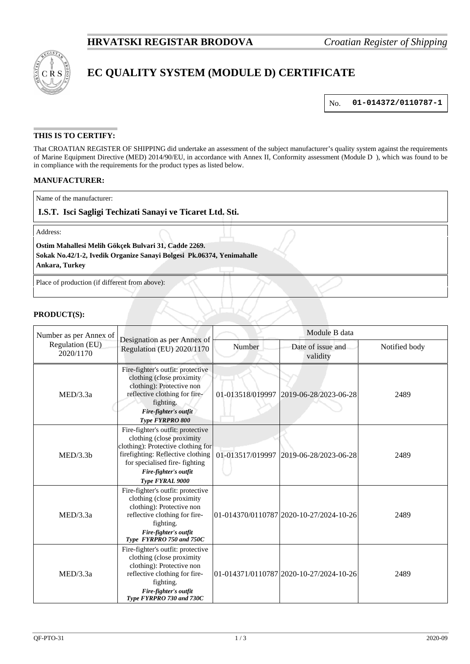

# **EC QUALITY SYSTEM (MODULE D) CERTIFICATE**

No. **01-014372/0110787-1**

## **THIS IS TO CERTIFY:**

That CROATIAN REGISTER OF SHIPPING did undertake an assessment of the subject manufacturer's quality system against the requirements of Marine Equipment Directive (MED) 2014/90/EU, in accordance with Annex II, Conformity assessment (Module D ), which was found to be in compliance with the requirements for the product types as listed below.

### **MANUFACTURER:**

Name of the manufacturer:

## **I.S.T. Isci Sagligi Techizati Sanayi ve Ticaret Ltd. Sti.**

Address:

#### **Ostim Mahallesi Melih Gökçek Bulvari 31, Cadde 2269.**

**Sokak No.42/1-2, Ivedik Organize Sanayi Bolgesi Pk.06374, Yenimahalle**

**Ankara, Turkey**

Place of production (if different from above):

#### **PRODUCT(S):**

| Number as per Annex of<br>Regulation (EU)<br>2020/1170 | Designation as per Annex of<br>Regulation (EU) 2020/1170                                                                                                                                                               | Module B data    |                                         |               |
|--------------------------------------------------------|------------------------------------------------------------------------------------------------------------------------------------------------------------------------------------------------------------------------|------------------|-----------------------------------------|---------------|
|                                                        |                                                                                                                                                                                                                        | Number           | Date of issue and<br>validity           | Notified body |
| MED/3.3a                                               | Fire-fighter's outfit: protective<br>clothing (close proximity<br>clothing): Protective non<br>reflective clothing for fire-<br>fighting.<br>Fire-fighter's outfit<br><b>Type FYRPRO 800</b>                           | 01-013518/019997 | 2019-06-28/2023-06-28                   | 2489          |
| MED/3.3b                                               | Fire-fighter's outfit: protective<br>clothing (close proximity<br>clothing): Protective clothing for<br>firefighting: Reflective clothing<br>for specialised fire-fighting<br>Fire-fighter's outfit<br>Type FYRAL 9000 | 01-013517/019997 | 2019-06-28/2023-06-28                   | 2489          |
| MED/3.3a                                               | Fire-fighter's outfit: protective<br>clothing (close proximity<br>clothing): Protective non<br>reflective clothing for fire-<br>fighting.<br>Fire-fighter's outfit<br>Type FYRPRO 750 and 750C                         |                  | 01-014370/0110787 2020-10-27/2024-10-26 | 2489          |
| MED/3.3a                                               | Fire-fighter's outfit: protective<br>clothing (close proximity<br>clothing): Protective non<br>reflective clothing for fire-<br>fighting.<br>Fire-fighter's outfit<br>Type FYRPRO 730 and 730C                         |                  | 01-014371/0110787 2020-10-27/2024-10-26 | 2489          |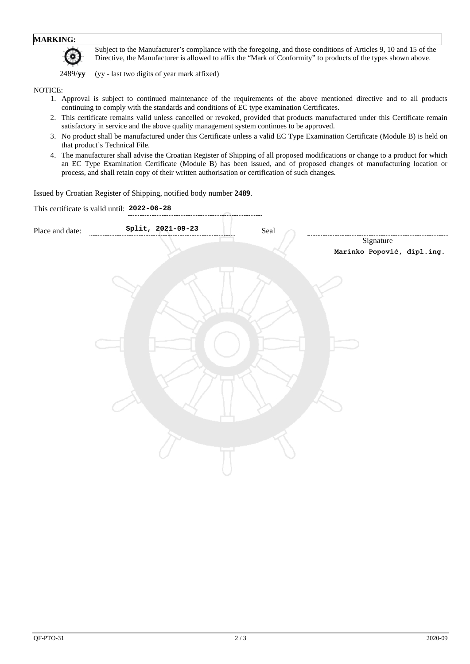# **MARKING:**

Subject to the Manufacturer's compliance with the foregoing, and those conditions of Articles 9, 10 and 15 of the Directive, the Manufacturer is allowed to affix the "Mark of Conformity" to products of the types shown above.

2489/**yy** (yy - last two digits of year mark affixed)

#### NOTICE:

- 1. Approval is subject to continued maintenance of the requirements of the above mentioned directive and to all products continuing to comply with the standards and conditions of EC type examination Certificates.
- 2. This certificate remains valid unless cancelled or revoked, provided that products manufactured under this Certificate remain satisfactory in service and the above quality management system continues to be approved.
- 3. No product shall be manufactured under this Certificate unless a valid EC Type Examination Certificate (Module B) is held on that product's Technical File.
- 4. The manufacturer shall advise the Croatian Register of Shipping of all proposed modifications or change to a product for which an EC Type Examination Certificate (Module B) has been issued, and of proposed changes of manufacturing location or process, and shall retain copy of their written authorisation or certification of such changes.

Issued by Croatian Register of Shipping, notified body number **2489**.

|                 | This certificate is valid until: 2022-06-28 |                            |
|-----------------|---------------------------------------------|----------------------------|
| Place and date: | Split, 2021-09-23                           | $\operatorname{Scal}$      |
|                 |                                             | Signature                  |
|                 |                                             | Marinko Popović, dipl.ing. |
|                 |                                             |                            |
|                 |                                             |                            |
|                 |                                             |                            |
|                 |                                             |                            |
|                 |                                             |                            |